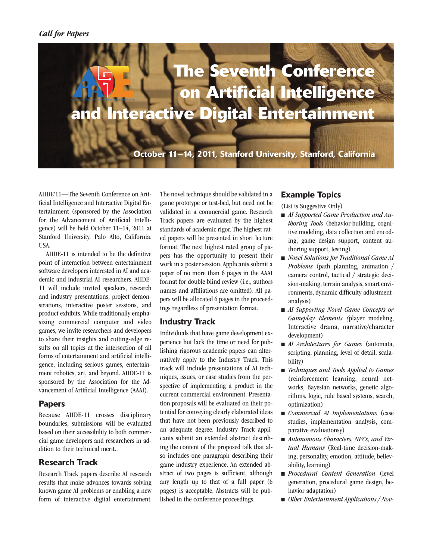

**October 11–14, 2011, Stanford University, Stanford, California**

AIIDE'11—The Seventh Conference on Artificial Intelligence and Interactive Digital Entertainment (sponsored by the Association for the Advancement of Artificial Intelligence) will be held October 11–14, 2011 at Stanford University, Palo Alto, California, USA.

AIIDE-11 is intended to be the definitive point of interaction between entertainment software developers interested in AI and academic and industrial AI researchers. AIIDE-11 will include invited speakers, research and industry presentations, project demonstrations, interactive poster sessions, and product exhibits. While traditionally emphasizing commercial computer and video games, we invite researchers and developers to share their insights and cutting-edge results on all topics at the intersection of all forms of entertainment and artificial intelligence, including serious games, entertainment robotics, art, and beyond. AIIDE-11 is sponsored by the Association for the Advancement of Artificial Intelligence (AAAI).

### **Papers**

Because AIIDE-11 crosses disciplinary boundaries, submissions will be evaluated based on their accessibility to both commercial game developers and researchers in addition to their technical merit..

# **Research Track**

Research Track papers describe AI research results that make advances towards solving known game AI problems or enabling a new form of interactive digital entertainment.

The novel technique should be validated in a game prototype or test-bed, but need not be validated in a commercial game. Research Track papers are evaluated by the highest standards of academic rigor. The highest rated papers will be presented in short lecture format. The next highest rated group of papers has the opportunity to present their work in a poster session. Applicants submit a paper of no more than 6 pages in the AAAI format for double blind review (i.e., authors names and affiliations are omitted). All papers will be allocated 6 pages in the proceedings regardless of presentation format.

# **Industry Track**

Individuals that have game development experience but lack the time or need for publishing rigorous academic papers can alternatively apply to the Industry Track. This track will include presentations of AI techniques, issues, or case studies from the perspective of implementing a product in the current commercial environment. Presentation proposals will be evaluated on their potential for conveying clearly elaborated ideas that have not been previously described to an adequate degree. Industry Track applicants submit an extended abstract describing the content of the proposed talk that also includes one paragraph describing their game industry experience. An extended abstract of two pages is sufficient, although any length up to that of a full paper (6 pages) is acceptable. Abstracts will be published in the conference proceedings.

# **Example Topics**

(List is Suggestive Only)

- *AI Supported Game Production and Authoring Tools* (behavior-building, cognitive modeling, data collection and encoding, game design support, content authoring support, testing)
- *Novel Solutions for Traditional Game AI Problems* (path planning, animation / camera control, tactical / strategic decision-making, terrain analysis, smart environments, dynamic difficulty adjustmentanalysis)
- *AI Supporting Novel Game Concepts or Gameplay Elements (*player modeling, Interactive drama, narrative/character development)
- *AI Architectures for Games* (automata, scripting, planning, level of detail, scalability)
- <sup>n</sup> *Techniques and Tools Applied to Games* (reinforcement learning, neural networks, Bayesian networks, genetic algorithms, logic, rule based systems, search, optimization)
- *Commercial AI Implementations* (case studies, implementation analysis, comparative evaluationsy)
- *Autonomous Characters, NPCs, and Virtual Humans* (Real-time decision-making, personality, emotion, attitude, believability, learning)
- <sup>n</sup> *Procedural Content Generation* (level generation, procedural game design, behavior adaptation)
- *Other Entertainment Applications* / *Nov-*